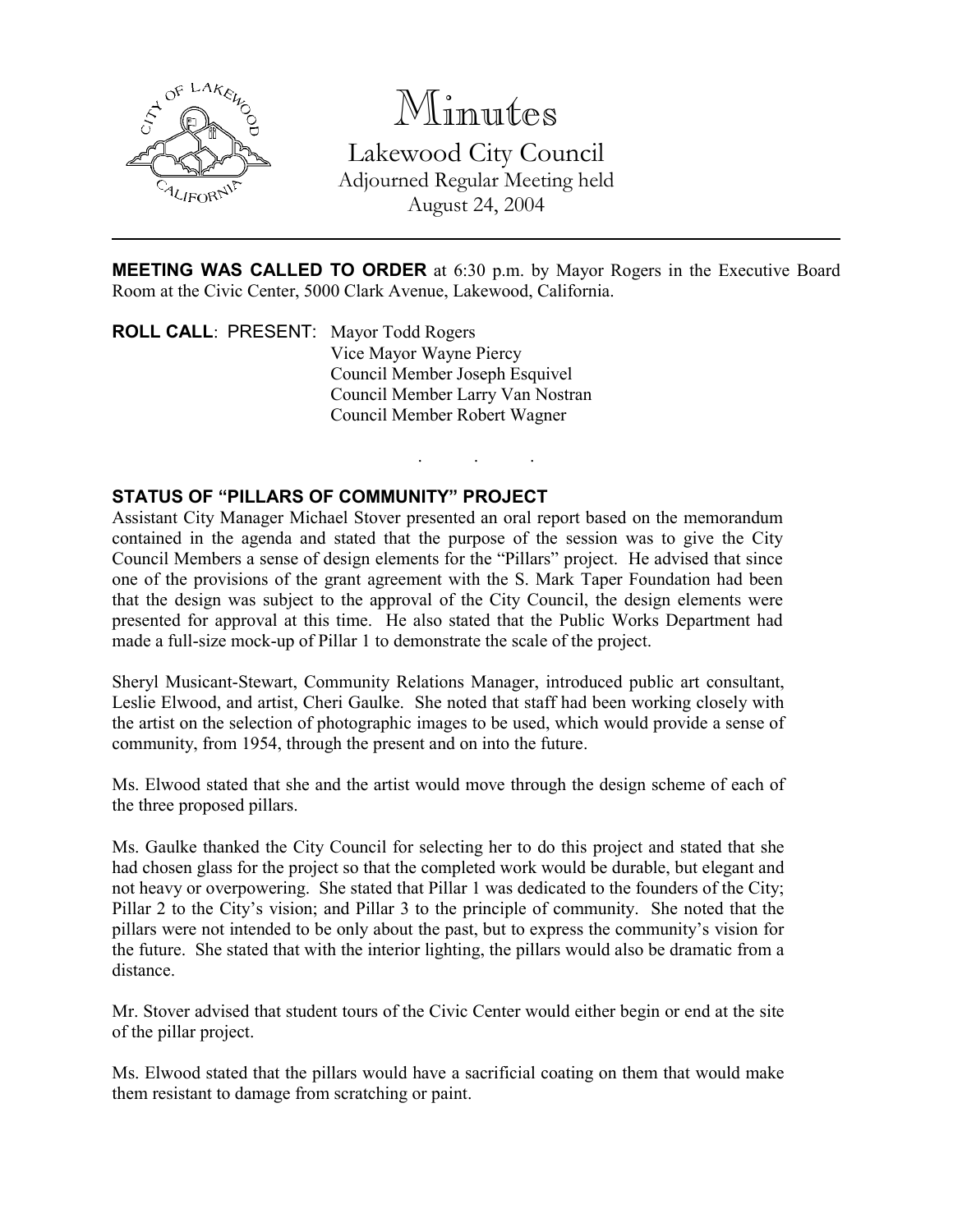

# Minutes

Lakewood City Council Adjourned Regular Meeting held August 24, 2004

MEETING WAS CALLED TO ORDER at 6:30 p.m. by Mayor Rogers in the Executive Board Room at the Civic Center, 5000 Clark Avenue, Lakewood, California.

. . .

ROLL CALL: PRESENT: Mayor Todd Rogers Vice Mayor Wayne Piercy Council Member Joseph Esquivel Council Member Larry Van Nostran Council Member Robert Wagner

### STATUS OF "PILLARS OF COMMUNITY" PROJECT

Assistant City Manager Michael Stover presented an oral report based on the memorandum contained in the agenda and stated that the purpose of the session was to give the City Council Members a sense of design elements for the "Pillars" project. He advised that since one of the provisions of the grant agreement with the S. Mark Taper Foundation had been that the design was subject to the approval of the City Council, the design elements were presented for approval at this time. He also stated that the Public Works Department had made a full-size mock-up of Pillar 1 to demonstrate the scale of the project.

Sheryl Musicant-Stewart, Community Relations Manager, introduced public art consultant, Leslie Elwood, and artist, Cheri Gaulke. She noted that staff had been working closely with the artist on the selection of photographic images to be used, which would provide a sense of community, from 1954, through the present and on into the future.

Ms. Elwood stated that she and the artist would move through the design scheme of each of the three proposed pillars.

Ms. Gaulke thanked the City Council for selecting her to do this project and stated that she had chosen glass for the project so that the completed work would be durable, but elegant and not heavy or overpowering. She stated that Pillar 1 was dedicated to the founders of the City; Pillar 2 to the City's vision; and Pillar 3 to the principle of community. She noted that the pillars were not intended to be only about the past, but to express the community's vision for the future. She stated that with the interior lighting, the pillars would also be dramatic from a distance.

Mr. Stover advised that student tours of the Civic Center would either begin or end at the site of the pillar project.

Ms. Elwood stated that the pillars would have a sacrificial coating on them that would make them resistant to damage from scratching or paint.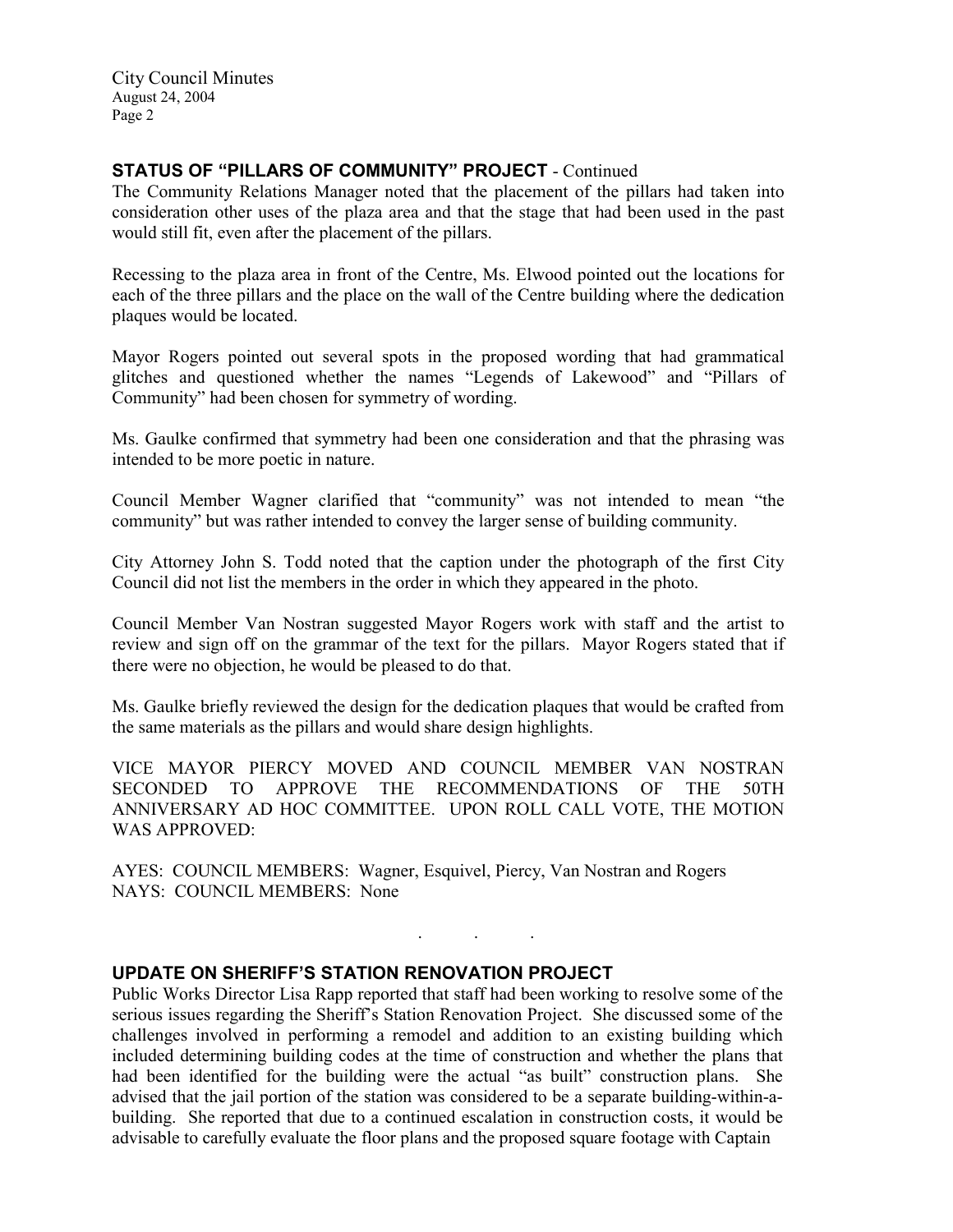City Council Minutes August 24, 2004 Page 2

#### STATUS OF "PILLARS OF COMMUNITY" PROJECT - Continued

The Community Relations Manager noted that the placement of the pillars had taken into consideration other uses of the plaza area and that the stage that had been used in the past would still fit, even after the placement of the pillars.

Recessing to the plaza area in front of the Centre, Ms. Elwood pointed out the locations for each of the three pillars and the place on the wall of the Centre building where the dedication plaques would be located.

Mayor Rogers pointed out several spots in the proposed wording that had grammatical glitches and questioned whether the names "Legends of Lakewood" and "Pillars of Community" had been chosen for symmetry of wording.

Ms. Gaulke confirmed that symmetry had been one consideration and that the phrasing was intended to be more poetic in nature.

Council Member Wagner clarified that "community" was not intended to mean "the community" but was rather intended to convey the larger sense of building community.

City Attorney John S. Todd noted that the caption under the photograph of the first City Council did not list the members in the order in which they appeared in the photo.

Council Member Van Nostran suggested Mayor Rogers work with staff and the artist to review and sign off on the grammar of the text for the pillars. Mayor Rogers stated that if there were no objection, he would be pleased to do that.

Ms. Gaulke briefly reviewed the design for the dedication plaques that would be crafted from the same materials as the pillars and would share design highlights.

VICE MAYOR PIERCY MOVED AND COUNCIL MEMBER VAN NOSTRAN SECONDED TO APPROVE THE RECOMMENDATIONS OF THE 50TH ANNIVERSARY AD HOC COMMITTEE. UPON ROLL CALL VOTE, THE MOTION WAS APPROVED:

. . .

AYES: COUNCIL MEMBERS: Wagner, Esquivel, Piercy, Van Nostran and Rogers NAYS: COUNCIL MEMBERS: None

#### UPDATE ON SHERIFF'S STATION RENOVATION PROJECT

Public Works Director Lisa Rapp reported that staff had been working to resolve some of the serious issues regarding the Sheriff's Station Renovation Project. She discussed some of the challenges involved in performing a remodel and addition to an existing building which included determining building codes at the time of construction and whether the plans that had been identified for the building were the actual "as built" construction plans. She advised that the jail portion of the station was considered to be a separate building-within-abuilding. She reported that due to a continued escalation in construction costs, it would be advisable to carefully evaluate the floor plans and the proposed square footage with Captain